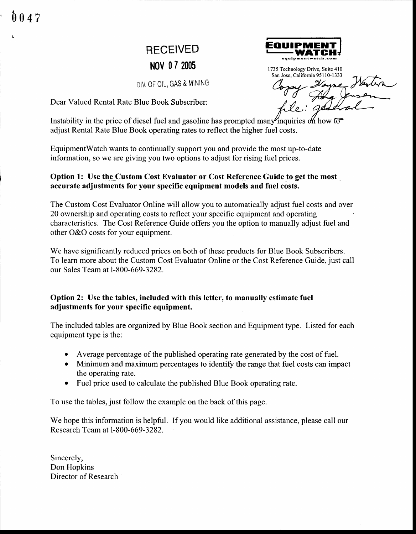$047$ 

# RECEIVED



DIV, OF OIL, GAS & MINING

Dear Valued Rental Rate Blue Book Subscriber:

**NOV 07 2005**<br>1735 Technology Drive, Suite 410<br>San Jose, California 95110-1333  $\not\!\!\!/_t$ 

Instability in the price of diesel fuel and gasoline has prompted many inquiries on how  $\overline{0}$ adjust Rental Rate Blue Book operating rates to reflect the higher fuel costs.

EquipmentWatch wants to continually support you and provide the most up-to-date information, so we are giving you two options to adjust for rising fuel prices.

#### Option 1: Use the Custom Cost Evaluator or Cost Reference Guide to get the most accurate adjustments for your specific equipment models and fuel costs.

The Custom Cost Evaluator Online will allow you to automatically adjust fuel costs and over 20 ownership and operating costs to reflect your specific equipment and operating characteristics. The Cost Reference Guide offers you the option to manually adjust fuel and other O&O costs for your equipment.

We have significantly reduced prices on both of these products for Blue Book Subscribers. To learn more about the Custom Cost Evaluator Online or the Cost Reference Guide, just call our Sales Team at l-800-669-3282.

### Option 2: Use the tables, included with this letter, to manually estimate fuel adjustments for your specific equipment.

The included tables are organized by Blue Book section and Equipment type. Listed for each equipment type is the:

- o Average percentage of the published operating rate generated by the cost of fuel.
- Minimum and maximum percentages to identify the range that fuel costs can impact the operating rate.
- Fuel price used to calculate the published Blue Book operating rate.

To use the tables, just follow the example on the back of this page.

We hope this information is helpful. If you would like additional assistance, please call our Research Team at l-800-669-3282.

Sincerely, Don Hopkins Director of Research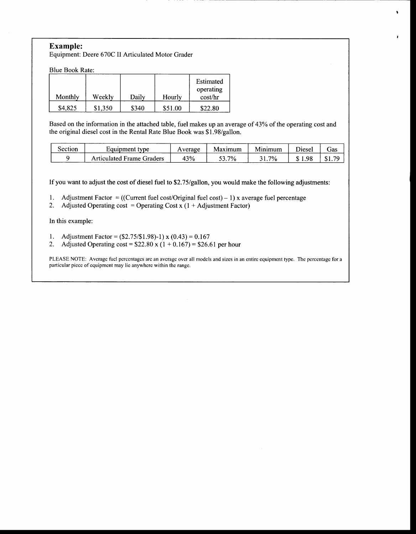#### Example:

Equipment: Deere 670C II Articulated Motor Grader

Blue Book Rate:

|         |         |       |         | Estimated<br>operating |
|---------|---------|-------|---------|------------------------|
| Monthly | Weekly  | Daily | Hourly  | cost/hr                |
| \$4,825 | \$1,350 | \$340 | \$51.00 | \$22.80                |

Based on the information in the attached table, fuel makes up an average of 43% of the operating cost and the original diesel cost in the Rental Rate Blue Book was \$1.98/gallon.

 $\bullet$ 

¥

| Section | Equipment type            | verage | Maximum | Minimum | <b>Diesel</b> | cias      |
|---------|---------------------------|--------|---------|---------|---------------|-----------|
|         | Articulated Frame Graders | 43%    | $7\%$   | $7\%$   | $1.98 -$      | 70<br>ሰ 1 |

If you want to adjust the cost of diesel fuel to \$2.75/gallon, you would make the following adjustments:

1. Adjustment Factor = ((Current fuel cost/Original fuel cost) - 1) x average fuel percentage

2. Adjusted Operating cost = Operating Cost x  $(1 + \text{Adjustment Factor})$ 

In this example:

- 1. Adjustment Factor =  $(\$2.75/\$1.98)$ -1) x  $(0.43) = 0.167$
- 2. Adjusted Operating cost =  $$22.80 \times (1 + 0.167) = $26.61$  per hour

PLEASE NOTE: Average fuel percentages are an average over all models and sizes in an entire equipment type. The percentage for a particular piccc of equipmcnt may lie anywhcrc within thc rangc.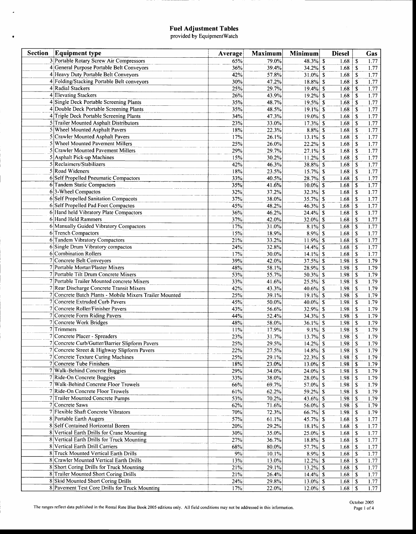## **Fuel Adjustment Tables**<br>provided by EquipmentWatch

 $\bar{\textbf{z}}$ 

 $\bullet$ 

| <b>Section</b> | <b>Equipment type</b>                                   | Average | Maximum | Minimum     | <b>Diesel</b> |                           | Gas  |
|----------------|---------------------------------------------------------|---------|---------|-------------|---------------|---------------------------|------|
|                | 3 Portable Rotary Screw Air Compressors                 | 65%     | 79.0%   | $48.3\%$ \$ | 1.68          | <sup>\$</sup>             | 1.77 |
|                | 4 General Purpose Portable Belt Conveyors               | 36%     | 39.4%   | $34.2\%$ \$ | 1.68          | $\boldsymbol{\mathsf{s}}$ | 1.77 |
|                | 4 Heavy Duty Portable Belt Conveyors                    | 42%     | 57.8%   | $31.0\%$ \$ | 1.68          | $\mathbf S$               | 1.77 |
|                | 4 Folding/Stacking Portable Belt conveyors              | 30%     | 47.2%   | $18.8\%$ \$ | 1.68          | \$                        | 1.77 |
|                | 4 Radial Stackers                                       | 25%     | 29.7%   | $19.4\%$ \$ | 1.68          | \$                        | 1.77 |
|                | 4 Elevating Stackers                                    | 26%     | 43.9%   | $19.2\%$ \$ | 1.68          | S                         | 1.77 |
|                | 4 Single Deck Portable Screening Plants                 | 35%     | 48.7%   | $19.5\%$ \$ | 1.68          | \$                        | 1.77 |
|                | 4 Double Deck Portable Screening Plants                 | 35%     | 48.5%   | $19.1\%$ \$ | 1.68          | S                         | 1.77 |
|                | 4 Triple Deck Portable Screening Plants                 | 34%     | 47.3%   | $19.0\%$ \$ | 1.68          | \$                        | 1.77 |
|                | 5 Trailer Mounted Asphalt Distributors                  | 23%     | 33.0%   | $17.3\%$ \$ | 1.68          | <sup>\$</sup>             | 1.77 |
|                | 5 Wheel Mounted Asphalt Pavers                          | 18%     | 22.3%   | $8.8\%$ \$  | 1.68          | s                         | 1.77 |
|                | 5 Crawler Mounted Asphalt Pavers                        | 17%     | 26.1%   | $13.1\%$ \$ | 1.68          | $\mathbf S$               | 1.77 |
|                | Wheel Mounted Pavement Millers                          | 25%     | 26.0%   | $22.2%$ \$  | 1.68          | \$                        | 1.77 |
|                | Crawler Mounted Pavement Millers                        | 29%     | 29.7%   | $27.1\%$ \$ | 1.68          | <sup>\$</sup>             | 1.77 |
|                | 5 Asphalt Pick-up Machines                              | 15%     | 30.2%   | $11.2%$ \$  | 1.68          | \$                        | 1.77 |
|                | 5 Reclaimers/Stabilizers                                | 42%     | 46.3%   | 38.8% \$    | 1.68          | $\mathbf S$               | 1.77 |
|                | 5 Road Wideners                                         | 18%     | 23.5%   | $15.7\%$ \$ | 1.68          | \$                        | 1.77 |
|                | 6 Self Propelled Pneumatic Compactors                   | 33%     | 40.5%   | $28.7%$ \$  | 1.68          | S                         | 1.77 |
|                | 6 Tandem Static Compactors                              | 35%     | 41.6%   | $10.0\%$ \$ | 1.68          | S                         | 1.77 |
|                | 63-Wheel Compactos                                      | 32%     | 37.2%   | $32.3\%$ \$ | 1.68          | \$                        | 1.77 |
|                | 6 Self Propelled Sanitation Compacots                   | 37%     | 38.0%   | $35.7\%$ \$ | 1.68          | \$                        | 1.77 |
|                | 6 Self Propelled Pad Foot Compactos                     | 45%     | 48.2%   | $46.3\%$ \$ | 1.68          | S                         | 1.77 |
|                | 6 Hand held Vibratory Plate Compactors                  | 36%     | 46.2%   | $24.4\%$ \$ | 1.68          | \$                        | 1.77 |
|                | 6 Hand Held Rammers                                     | 37%     | 42.0%   | $32.0\%$ \$ | 1.68          | \$                        | 1.77 |
|                | 6 Manually Guided Vibratory Compactors                  | 17%     | 31.0%   | $8.1\%$ \$  | 1.68          | $\mathbf S$               | 1.77 |
|                | 6 Trench Compactors                                     | 15%     | 18.9%   | $8.9\%$ \$  | 1.68          | S                         | 1.77 |
|                | 6 Tandem Vibratory Compactors                           | 21%     | 33.2%   | $11.9%$ \$  | 1.68          | \$                        | 1.77 |
|                | 6 Single Drum Vibratory compactos                       | 24%     | 32.8%   | $14.4\%$ \$ | 1.68          | \$                        | 1.77 |
|                | 6 Combination Rollers                                   | 17%     | 30.0%   | $14.1\%$ \$ | 1.68          | S                         | 1.77 |
|                | 7 Concrete Belt Conveyors                               | 39%     | 42.0%   | $37.5\%$ \$ | 1.98          | \$                        | 1.79 |
|                | 7 Portable Mortar/Plaster Mixers                        | 48%     | 58.1%   | 28.9% \$    | 1.98          | \$                        | 1.79 |
|                | 7 Portable Tilt Drum Concrete Mixers                    | 53%     | 55.7%   | $50.3\%$ \$ | 1.98          | <sup>\$</sup>             | 1.79 |
|                | 7 Portable Trailer Mounted concrete Mixers              | 33%     | 41.6%   | $25.5\%$ \$ | 1.98          | \$                        | 1.79 |
|                | 7 Rear Discharge Concrete Transit Mixers                | 42%     | 43.3%   | $40.6\%$ \$ | 1.98          | \$                        | 1.79 |
|                | 7 Concrete Batch Plants - Mobile Mixers Trailer Mounted | 25%     | 39.1%   | $19.1\%$ \$ | 1.98          | S                         | 1.79 |
|                | 7 Concrete Extruded Curb Pavers                         | 45%     | 50.0%   | $40.0\%$ \$ | 1.98          | <sup>\$</sup>             | 1.79 |
|                | 7 Concrete Roller/Finisher Pavers                       | 43%     | 56.6%   | $32.9\%$ \$ | 1.98          | \$                        | 1.79 |
|                | 7 Concrete Form Riding Pavers                           | 44%     | 52.4%   | $34.3\%$ \$ | 1.98          | \$                        | 1.79 |
|                | 7 Concrete Work Bridges                                 | 48%     | 58.0%   | $36.1\%$ \$ | 1.98          | <sup>\$</sup>             | 1.79 |
|                | $7$ Trimmers                                            | 11%     | 17.9%   | $9.1\%$ \$  | 1.98          | \$                        | 1.79 |
|                | 7 Concrete Placer - Spreaders                           | 23%     | 31.7%   | $13.7\%$ \$ | 1.98          | \$                        | 1.79 |
|                | 7 Concrete Curb/Gutter/Barrier Slipform Pavers          | 25%     | 29.5%   | $14.2\%$ \$ | 1.98          | <sup>\$</sup>             | 1.79 |
|                | 7 Concrete Street & Highway Slipform Pavers             | 22%     | 27.5%   | $14.8\%$ \$ | 1.98          | $\overline{\mathbb{S}}$   | 1.79 |
|                | 7 Concrete Texture Curing Machines                      | 25%     | 29.1%   | $22.3%$ \$  | 1.98          | $\mathbf s$               | 1.79 |
|                | 7 Concrete Tube Finishers                               | 18%     | 23.0%   | $13.0\%$ \$ | 1.98          | -S                        | 1.79 |
|                | 7 Walk-Behind Concrete Buggies                          | 29%     | 34.0%   | $24.0\%$ \$ | 1.98          | -S                        | 1.79 |
|                | 7 Ride-On Concrete Buggies                              | $33\%$  | 38.0%   | $28.0\%$ \$ | 1.98          | \$                        | 1.79 |
|                | 7 Walk-Behind Concrete Floor Trowels                    | 66%     | 69.7%   | 57.0% \\$   | 1.98          | $\mathbf S$               | 1.79 |
|                | 7 Ride-On Concrete Floor Trowels                        | 61%     | 62.2%   | $59.2\%$ \$ | 1.98          | -S                        | 1.79 |
|                | 7 Trailer Mounted Concrete Pumps                        | 53%     | 70.2%   | 43.6% \$    | 1.98          | \$                        | 1.79 |
|                | 7 Concrete Saws                                         | 62%     | 71.6%   | 56.0% \\$   | 1.98          | \$                        | 1.79 |
|                | 7 Flexible Shaft Concrete Vibrators                     | 70%     | 72.3%   | 66.7% \$    | 1.98          | -S                        | 1.79 |
|                | 8 Portable Earth Augers                                 | 57%     | 61.1%   | 45.7% \$    | 1.68          | \$                        | 1.77 |
|                | 8 Self Contained Horizontal Borers                      | 20%     | 29.2%   | $18.1\%$ \$ | 1.68          | \$                        | 1.77 |
|                | 8 Vertical Earth Drills for Crane Mounting              | 30%     | 35.0%   | $25.0\%$ \$ | 1.68          | \$                        | 1.77 |
|                | 8 Vertical Earth Drills for Truck Mounting              | 27%     | 36.7%   | $18.8\%$ \$ | 1.68          | \$                        | 1.77 |
|                | 8 Vertical Earth Drill Carriers                         | 68%     | 80.0%   | 57.7% \\$   | 1.68          | \$                        | 1.77 |
|                | 8 Truck Mounted Vertical Earth Drills                   | $9\%$   | 10.1%   | $8.9\%$ \$  | 1.68          | -S                        | 1.77 |
|                | 8 Crawler Mounted Vertical Earth Drills                 | 13%     | 13.0%   | $12.2\%$ \$ | 1.68          | -S                        | 1.77 |
|                | 8 Short Coring Drills for Truck Mounting                | 21%     | 29.1%   | $13.2\%$ \$ | 1.68          | -S                        | 1.77 |
|                | 8 Trailer Mounted Short Coring Drills                   | 21%     | 26.4%   | $14.4\%$ \$ | 1.68          | \$                        | 1.77 |
|                | 8 Skid Mounted Short Coring Drills                      | 24%     | 29.8%   | $13.0\%$ \$ | 1.68          | -S                        | 1.77 |
|                | 8 Pavement Test Core Drills for Truck Mounting          | 17%     | 22.0%   | $12.0\%$ \$ | 1.68          | \$                        | 1.77 |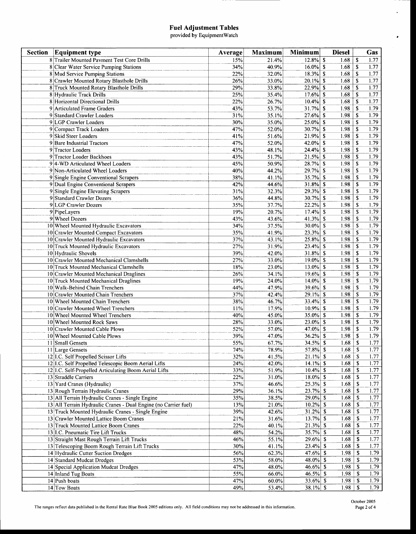### Fuel Adjustment Tables<br>provided by EquipmentWatch

| 8 Trailer Mounted Pavment Test Core Drills<br>$12.8\%$ \$<br>1.68<br>S<br>21.4%<br>1.77<br>15%<br>$16.0\%$ \$<br><sup>\$</sup><br>1.77<br>8 Clear Water Service Pumping Stations<br>34%<br>40.9%<br>1.68<br>$18.3\%$ \$<br>1.77<br>8 Mud Service Pumping Stations<br>22%<br>32.0%<br>1.68<br>\$<br>$\mathbf S$<br>1.77<br>8 Crawler Mounted Rotary Blasthole Drills<br>$20.1\%$ \$<br>1.68<br>26%<br>33.0%<br>1.68<br><sup>\$</sup><br>1.77<br>8 Truck Mounted Rotary Blasthole Drills<br>29%<br>33.8%<br>$22.9%$ \$<br>$17.6\%$ \$<br>1.77<br>25%<br>1.68<br>\$<br>8 Hydraulic Track Drills<br>35.4%<br>1.77<br>$\mathbf S$<br>8 Horizontal Directional Drills<br>22%<br>26.7%<br>$10.4\%$ \$<br>1.68<br>1.79<br>9 Articulated Frame Graders<br>43%<br>$31.7%$ \$<br>1.98<br><b>S</b><br>53.7%<br>$27.6\%$ \$<br>1.79<br>9 Standard Crawler Loaders<br>31%<br>1.98<br><sup>\$</sup><br>35.1%<br>1.79<br>30%<br>$25.0\%$ \$<br>1.98<br>$\mathbf S$<br>9 LGP Crawler Loaders<br>35.0%<br>1.79<br>9 Compact Track Loaders<br>$30.7%$ \$<br>1.98<br><b>S</b><br>47%<br>52.0%<br>1.79<br>9 Skid Steer Loaders<br>41%<br>$21.9%$ \$<br>1.98<br><b>S</b><br>51.6%<br>1.79<br>47%<br>42.0% \$<br>1.98<br><b>S</b><br>9 Bare Industrial Tractors<br>52.0%<br>1.98<br>1.79<br>9 Tractor Loaders<br>$24.4%$ \$<br><sup>\$</sup><br>43%<br>48.1%<br>1.98<br>1.79<br>9 Tractor Loader Backhoes<br>43%<br>51.7%<br>$21.5%$ \$<br><b>S</b><br>$28.7%$ \$<br>1.98<br>1.79<br>94-WD Articulated Wheel Loaders<br>45%<br>50.9%<br>$\mathbf{\hat{s}}$<br>$29.7%$ \$<br>1.98<br>\$<br>1.79<br>9 Non-Articulated Wheel Loaders<br>40%<br>44.2%<br>35.7% \$<br>1.98<br>1.79<br>9 Single Engine Conventional Scrapers<br>38%<br><sup>\$</sup><br>41.1%<br>1.79<br>$31.8\%$ \$<br>$\mathbf{s}$<br>9 Dual Engine Conventional Scrapers<br>42%<br>44.6%<br>1.98<br>$29.3\%$ \$<br>1.79<br>9 Single Engine Elevating Scrapers<br>1.98<br>\$<br>31%<br>32.3%<br>1.79<br>9 Standard Crawler Dozers<br>30.7%<br>\$<br>1.98<br>\$<br>36%<br>44.8%<br>35%<br>$22.2%$ \$<br>1.98<br>\$<br>1.79<br>9 LGP Crawler Dozers<br>37.7%<br>1.79<br>19%<br>$17.4\%$ \$<br>1.98<br>9 PipeLayers<br>20.7%<br>\$<br>1.79<br>9 Wheel Dozers<br>43.6%<br>41.3% $\vert S \vert$<br>1.98<br><sup>\$</sup><br>43%<br>10 Wheel Mounted Hydraulic Excavators<br>$30.0\%$ \$<br>1.98<br><sup>\$</sup><br>1.79<br>34%<br>37.5%<br>$\boldsymbol{s}$<br>1.79<br>35%<br>23.3%<br>1.98<br>\$<br>10 Crawler Mounted Compact Excavators<br>41.9%<br>1.79<br>$25.8\%$ \$<br>${\bf S}$<br>10 Crawler Mounted Hydraulic Excavators<br>37%<br>43.1%<br>1.98<br>1.98<br>1.79<br>27%<br>$23.4\%$ \$<br>\$<br>10 Truck Mounted Hydraulic Excavators<br>31.9%<br>1.79<br>$31.8\%$ \$<br>10 Hydraulic Shovels<br>39%<br>42.0%<br>1.98<br>\$<br>1.79<br>10 Crawler Mounted Mechanical Clamshells<br>33.0%<br>$19.0\%$ \$<br>1.98<br>$\boldsymbol{\mathsf{s}}$<br>27%<br>1.79<br>$13.0\%$ \$<br>1.98<br><sup>\$</sup><br>10 Truck Mounted Mechanical Clamshells<br>18%<br>23.0%<br>$\pmb{\mathbb{S}}$<br>1.79<br>10 Crawler Mounted Mechanical Draglines<br>26%<br>34.1%<br>$19.6\%$ \$<br>1.98<br>1.79<br>1.98<br>19%<br>24.0%<br>$14.0\%$ \$<br>\$<br>10 Truck Mounted Mechanical Draglines<br>1.79<br>10 Walk-Behind Chain Trenchers<br>$39.6\%$ \$<br>1.98<br>$\mathbf{\$}$<br>44%<br>47.9%<br>${\mathbb S}$<br>$29.1\%$ \$<br>1.98<br>1.79<br>10 Crawler Mounted Chain Trenchers<br>37%<br>42.4%<br>1.79<br>38%<br>$33.4\%$ \$<br>1.98<br>\$<br>10 Wheel Mounted Chain Trenchers<br>46.7%<br>\$<br>1.79<br>10 Crawler Mounted Wheel Trenchers<br>17.9%<br>$10.9\%$ \$<br>1.98<br>11%<br>1.79<br>10 Wheel Mounted Wheel Trenchers<br>40%<br>35.0% \$<br>1.98<br>\$<br>45.0%<br>$\pmb{\mathbb{S}}$<br>1.79<br>28%<br>33.0%<br>$23.0\%$ \$<br>1.98<br>10 Wheel Mounted Rock Saws<br>57.0%<br>$47.0\%$ \$<br>$\mathbf{s}$<br>1.79<br>10 Crawler Mounted Cable Plows<br>52%<br>1.98<br>$\mathbf S$<br>1.79<br>10 Wheel Mounted Cable Plows<br>$36.2\%$ \$<br>1.98<br>39%<br>47.0%<br>$34.5\%$ \$<br>$\sqrt{s}$<br>1.77<br>1.68<br>11 Small Gensets<br>55%<br>67.7%<br>1.77<br>74%<br>78.9%<br>$57.8\%$ \$<br>11 Large Gensets<br>1.77<br>12 I.C. Self Propelled Scissor Lifts<br>32%<br>41.5%<br>$21.1\%$ \$<br>12 I.C. Self Propelled Telescopic Boom Aerial Lifts<br>1.77<br>24%<br>42.0%<br>$14.1\%$ \$<br>$1.68$   \$<br>33%<br>$10.4\%$ \$<br>1.77<br>12 I.C. Self-Propelled Articulating Boom Aerial Lifts<br>51.9%<br>$1.68$   \$<br>1.77<br>$18.0\%$ \$<br>13 Straddle Carriers<br>22%<br>31.0%<br>$25.3\%$ \$<br>1.77<br>13 Yard Cranes (Hydraulic)<br>37%<br>$1.68$   \$<br>46.6%<br>1.77<br>29%<br>36.1%<br>$23.7%$ \$<br>$1.68$   \$<br>13 Rough Terrain Hydraulic Cranes<br>$29.0\%$ \$<br>1.77<br>35%<br>$1.68$   \$<br>13 All Terrain Hydraulic Cranes - Single Engine<br>38.5%<br>1.77<br>13%<br>$10.2\%$ \$<br>$1.68$   \$<br>13 All Terrain Hydraulic Cranes - Dual Engine (no Carrier fuel)<br>21.0%<br>39%<br>$31.2\%$ \$<br>1.77<br>42.6%<br>13 Truck Mounted Hydraulic Cranes - Single Engine<br>21%<br>$13.7\%$ \$<br>1.77<br>13 Crawler Mounted Lattice Boom Cranes<br>31.6%<br>1.68<br>S.<br>$21.3%$ \$<br>1.77<br>22%<br>40.1%<br>1.68<br>\$<br>13 Truck Mounted Lattice Boom Cranes<br>$35.7%$ \$<br>48%<br>1.68<br>S.<br>1.77<br>13 I.C. Pneumatic Tire Lift Trucks<br>54.2%<br>46%<br>55.1%<br>$29.6\%$ \$<br>1.68<br>\$<br>1.77<br>13 Straight Mast Rough Terrain Lift Trucks<br>$23.4\%$ \$<br>1.68<br>- \$<br>1.77<br>30%<br>41.1%<br>13 Telescoping Boom Rough Terrain Lift Trucks<br>1.79<br>56%<br>47.6% \\$<br>1.98<br>14 Hydraulic Cutter Suction Dredges<br>62.3%<br>-S<br>48.0% \$<br>1.79<br>53%<br>1.98<br>-S<br>14 Standard Mudcat Dredges<br>58.0%<br>47%<br>1.79<br>$46.6\%$ \$<br>$1.98$   \$<br>48.0%<br>14 Special Application Mudcat Dredges<br>46.5% \$<br>55%<br>1.79<br>14 Inland Tug Boats<br>66.0%<br>47%<br>33.6% \$<br>1.79<br>14 Push boats<br>60.0%<br>$38.1\%$ \$<br>1.98 | <b>Section</b><br><b>Equipment type</b> | Average | <b>Maximum</b> | <b>Minimum</b> | <b>Diesel</b> |   | Gas  |
|---------------------------------------------------------------------------------------------------------------------------------------------------------------------------------------------------------------------------------------------------------------------------------------------------------------------------------------------------------------------------------------------------------------------------------------------------------------------------------------------------------------------------------------------------------------------------------------------------------------------------------------------------------------------------------------------------------------------------------------------------------------------------------------------------------------------------------------------------------------------------------------------------------------------------------------------------------------------------------------------------------------------------------------------------------------------------------------------------------------------------------------------------------------------------------------------------------------------------------------------------------------------------------------------------------------------------------------------------------------------------------------------------------------------------------------------------------------------------------------------------------------------------------------------------------------------------------------------------------------------------------------------------------------------------------------------------------------------------------------------------------------------------------------------------------------------------------------------------------------------------------------------------------------------------------------------------------------------------------------------------------------------------------------------------------------------------------------------------------------------------------------------------------------------------------------------------------------------------------------------------------------------------------------------------------------------------------------------------------------------------------------------------------------------------------------------------------------------------------------------------------------------------------------------------------------------------------------------------------------------------------------------------------------------------------------------------------------------------------------------------------------------------------------------------------------------------------------------------------------------------------------------------------------------------------------------------------------------------------------------------------------------------------------------------------------------------------------------------------------------------------------------------------------------------------------------------------------------------------------------------------------------------------------------------------------------------------------------------------------------------------------------------------------------------------------------------------------------------------------------------------------------------------------------------------------------------------------------------------------------------------------------------------------------------------------------------------------------------------------------------------------------------------------------------------------------------------------------------------------------------------------------------------------------------------------------------------------------------------------------------------------------------------------------------------------------------------------------------------------------------------------------------------------------------------------------------------------------------------------------------------------------------------------------------------------------------------------------------------------------------------------------------------------------------------------------------------------------------------------------------------------------------------------------------------------------------------------------------------------------------------------------------------------------------------------------------------------------------------------------------------------------------------------------------------------------------------------------------------------------------------------------------------------------------------------------------------------------------------------------------------------------------------------------------------------------------------------------------------------------------------------------------------------------------------------------------------------------------------------------------------------------------------------------------------------------------------------------------------------------------------------------------------------------------------------------------------------------------------------------------------------------------------------------------------------------------------------------------------------------------------------------------------------------------------------------------------------------------------------------------------------------------------------------------------------------------------------------------------------------------------------------------------------------------------------------------------------|-----------------------------------------|---------|----------------|----------------|---------------|---|------|
|                                                                                                                                                                                                                                                                                                                                                                                                                                                                                                                                                                                                                                                                                                                                                                                                                                                                                                                                                                                                                                                                                                                                                                                                                                                                                                                                                                                                                                                                                                                                                                                                                                                                                                                                                                                                                                                                                                                                                                                                                                                                                                                                                                                                                                                                                                                                                                                                                                                                                                                                                                                                                                                                                                                                                                                                                                                                                                                                                                                                                                                                                                                                                                                                                                                                                                                                                                                                                                                                                                                                                                                                                                                                                                                                                                                                                                                                                                                                                                                                                                                                                                                                                                                                                                                                                                                                                                                                                                                                                                                                                                                                                                                                                                                                                                                                                                                                                                                                                                                                                                                                                                                                                                                                                                                                                                                                                                                                                                                                                                                                                                                                                                                                                                                                                                                                                                                                                                                                                               |                                         |         |                |                |               |   |      |
|                                                                                                                                                                                                                                                                                                                                                                                                                                                                                                                                                                                                                                                                                                                                                                                                                                                                                                                                                                                                                                                                                                                                                                                                                                                                                                                                                                                                                                                                                                                                                                                                                                                                                                                                                                                                                                                                                                                                                                                                                                                                                                                                                                                                                                                                                                                                                                                                                                                                                                                                                                                                                                                                                                                                                                                                                                                                                                                                                                                                                                                                                                                                                                                                                                                                                                                                                                                                                                                                                                                                                                                                                                                                                                                                                                                                                                                                                                                                                                                                                                                                                                                                                                                                                                                                                                                                                                                                                                                                                                                                                                                                                                                                                                                                                                                                                                                                                                                                                                                                                                                                                                                                                                                                                                                                                                                                                                                                                                                                                                                                                                                                                                                                                                                                                                                                                                                                                                                                                               |                                         |         |                |                |               |   |      |
|                                                                                                                                                                                                                                                                                                                                                                                                                                                                                                                                                                                                                                                                                                                                                                                                                                                                                                                                                                                                                                                                                                                                                                                                                                                                                                                                                                                                                                                                                                                                                                                                                                                                                                                                                                                                                                                                                                                                                                                                                                                                                                                                                                                                                                                                                                                                                                                                                                                                                                                                                                                                                                                                                                                                                                                                                                                                                                                                                                                                                                                                                                                                                                                                                                                                                                                                                                                                                                                                                                                                                                                                                                                                                                                                                                                                                                                                                                                                                                                                                                                                                                                                                                                                                                                                                                                                                                                                                                                                                                                                                                                                                                                                                                                                                                                                                                                                                                                                                                                                                                                                                                                                                                                                                                                                                                                                                                                                                                                                                                                                                                                                                                                                                                                                                                                                                                                                                                                                                               |                                         |         |                |                |               |   |      |
|                                                                                                                                                                                                                                                                                                                                                                                                                                                                                                                                                                                                                                                                                                                                                                                                                                                                                                                                                                                                                                                                                                                                                                                                                                                                                                                                                                                                                                                                                                                                                                                                                                                                                                                                                                                                                                                                                                                                                                                                                                                                                                                                                                                                                                                                                                                                                                                                                                                                                                                                                                                                                                                                                                                                                                                                                                                                                                                                                                                                                                                                                                                                                                                                                                                                                                                                                                                                                                                                                                                                                                                                                                                                                                                                                                                                                                                                                                                                                                                                                                                                                                                                                                                                                                                                                                                                                                                                                                                                                                                                                                                                                                                                                                                                                                                                                                                                                                                                                                                                                                                                                                                                                                                                                                                                                                                                                                                                                                                                                                                                                                                                                                                                                                                                                                                                                                                                                                                                                               |                                         |         |                |                |               |   |      |
|                                                                                                                                                                                                                                                                                                                                                                                                                                                                                                                                                                                                                                                                                                                                                                                                                                                                                                                                                                                                                                                                                                                                                                                                                                                                                                                                                                                                                                                                                                                                                                                                                                                                                                                                                                                                                                                                                                                                                                                                                                                                                                                                                                                                                                                                                                                                                                                                                                                                                                                                                                                                                                                                                                                                                                                                                                                                                                                                                                                                                                                                                                                                                                                                                                                                                                                                                                                                                                                                                                                                                                                                                                                                                                                                                                                                                                                                                                                                                                                                                                                                                                                                                                                                                                                                                                                                                                                                                                                                                                                                                                                                                                                                                                                                                                                                                                                                                                                                                                                                                                                                                                                                                                                                                                                                                                                                                                                                                                                                                                                                                                                                                                                                                                                                                                                                                                                                                                                                                               |                                         |         |                |                |               |   |      |
|                                                                                                                                                                                                                                                                                                                                                                                                                                                                                                                                                                                                                                                                                                                                                                                                                                                                                                                                                                                                                                                                                                                                                                                                                                                                                                                                                                                                                                                                                                                                                                                                                                                                                                                                                                                                                                                                                                                                                                                                                                                                                                                                                                                                                                                                                                                                                                                                                                                                                                                                                                                                                                                                                                                                                                                                                                                                                                                                                                                                                                                                                                                                                                                                                                                                                                                                                                                                                                                                                                                                                                                                                                                                                                                                                                                                                                                                                                                                                                                                                                                                                                                                                                                                                                                                                                                                                                                                                                                                                                                                                                                                                                                                                                                                                                                                                                                                                                                                                                                                                                                                                                                                                                                                                                                                                                                                                                                                                                                                                                                                                                                                                                                                                                                                                                                                                                                                                                                                                               |                                         |         |                |                |               |   |      |
|                                                                                                                                                                                                                                                                                                                                                                                                                                                                                                                                                                                                                                                                                                                                                                                                                                                                                                                                                                                                                                                                                                                                                                                                                                                                                                                                                                                                                                                                                                                                                                                                                                                                                                                                                                                                                                                                                                                                                                                                                                                                                                                                                                                                                                                                                                                                                                                                                                                                                                                                                                                                                                                                                                                                                                                                                                                                                                                                                                                                                                                                                                                                                                                                                                                                                                                                                                                                                                                                                                                                                                                                                                                                                                                                                                                                                                                                                                                                                                                                                                                                                                                                                                                                                                                                                                                                                                                                                                                                                                                                                                                                                                                                                                                                                                                                                                                                                                                                                                                                                                                                                                                                                                                                                                                                                                                                                                                                                                                                                                                                                                                                                                                                                                                                                                                                                                                                                                                                                               |                                         |         |                |                |               |   |      |
|                                                                                                                                                                                                                                                                                                                                                                                                                                                                                                                                                                                                                                                                                                                                                                                                                                                                                                                                                                                                                                                                                                                                                                                                                                                                                                                                                                                                                                                                                                                                                                                                                                                                                                                                                                                                                                                                                                                                                                                                                                                                                                                                                                                                                                                                                                                                                                                                                                                                                                                                                                                                                                                                                                                                                                                                                                                                                                                                                                                                                                                                                                                                                                                                                                                                                                                                                                                                                                                                                                                                                                                                                                                                                                                                                                                                                                                                                                                                                                                                                                                                                                                                                                                                                                                                                                                                                                                                                                                                                                                                                                                                                                                                                                                                                                                                                                                                                                                                                                                                                                                                                                                                                                                                                                                                                                                                                                                                                                                                                                                                                                                                                                                                                                                                                                                                                                                                                                                                                               |                                         |         |                |                |               |   |      |
|                                                                                                                                                                                                                                                                                                                                                                                                                                                                                                                                                                                                                                                                                                                                                                                                                                                                                                                                                                                                                                                                                                                                                                                                                                                                                                                                                                                                                                                                                                                                                                                                                                                                                                                                                                                                                                                                                                                                                                                                                                                                                                                                                                                                                                                                                                                                                                                                                                                                                                                                                                                                                                                                                                                                                                                                                                                                                                                                                                                                                                                                                                                                                                                                                                                                                                                                                                                                                                                                                                                                                                                                                                                                                                                                                                                                                                                                                                                                                                                                                                                                                                                                                                                                                                                                                                                                                                                                                                                                                                                                                                                                                                                                                                                                                                                                                                                                                                                                                                                                                                                                                                                                                                                                                                                                                                                                                                                                                                                                                                                                                                                                                                                                                                                                                                                                                                                                                                                                                               |                                         |         |                |                |               |   |      |
|                                                                                                                                                                                                                                                                                                                                                                                                                                                                                                                                                                                                                                                                                                                                                                                                                                                                                                                                                                                                                                                                                                                                                                                                                                                                                                                                                                                                                                                                                                                                                                                                                                                                                                                                                                                                                                                                                                                                                                                                                                                                                                                                                                                                                                                                                                                                                                                                                                                                                                                                                                                                                                                                                                                                                                                                                                                                                                                                                                                                                                                                                                                                                                                                                                                                                                                                                                                                                                                                                                                                                                                                                                                                                                                                                                                                                                                                                                                                                                                                                                                                                                                                                                                                                                                                                                                                                                                                                                                                                                                                                                                                                                                                                                                                                                                                                                                                                                                                                                                                                                                                                                                                                                                                                                                                                                                                                                                                                                                                                                                                                                                                                                                                                                                                                                                                                                                                                                                                                               |                                         |         |                |                |               |   |      |
|                                                                                                                                                                                                                                                                                                                                                                                                                                                                                                                                                                                                                                                                                                                                                                                                                                                                                                                                                                                                                                                                                                                                                                                                                                                                                                                                                                                                                                                                                                                                                                                                                                                                                                                                                                                                                                                                                                                                                                                                                                                                                                                                                                                                                                                                                                                                                                                                                                                                                                                                                                                                                                                                                                                                                                                                                                                                                                                                                                                                                                                                                                                                                                                                                                                                                                                                                                                                                                                                                                                                                                                                                                                                                                                                                                                                                                                                                                                                                                                                                                                                                                                                                                                                                                                                                                                                                                                                                                                                                                                                                                                                                                                                                                                                                                                                                                                                                                                                                                                                                                                                                                                                                                                                                                                                                                                                                                                                                                                                                                                                                                                                                                                                                                                                                                                                                                                                                                                                                               |                                         |         |                |                |               |   |      |
|                                                                                                                                                                                                                                                                                                                                                                                                                                                                                                                                                                                                                                                                                                                                                                                                                                                                                                                                                                                                                                                                                                                                                                                                                                                                                                                                                                                                                                                                                                                                                                                                                                                                                                                                                                                                                                                                                                                                                                                                                                                                                                                                                                                                                                                                                                                                                                                                                                                                                                                                                                                                                                                                                                                                                                                                                                                                                                                                                                                                                                                                                                                                                                                                                                                                                                                                                                                                                                                                                                                                                                                                                                                                                                                                                                                                                                                                                                                                                                                                                                                                                                                                                                                                                                                                                                                                                                                                                                                                                                                                                                                                                                                                                                                                                                                                                                                                                                                                                                                                                                                                                                                                                                                                                                                                                                                                                                                                                                                                                                                                                                                                                                                                                                                                                                                                                                                                                                                                                               |                                         |         |                |                |               |   |      |
|                                                                                                                                                                                                                                                                                                                                                                                                                                                                                                                                                                                                                                                                                                                                                                                                                                                                                                                                                                                                                                                                                                                                                                                                                                                                                                                                                                                                                                                                                                                                                                                                                                                                                                                                                                                                                                                                                                                                                                                                                                                                                                                                                                                                                                                                                                                                                                                                                                                                                                                                                                                                                                                                                                                                                                                                                                                                                                                                                                                                                                                                                                                                                                                                                                                                                                                                                                                                                                                                                                                                                                                                                                                                                                                                                                                                                                                                                                                                                                                                                                                                                                                                                                                                                                                                                                                                                                                                                                                                                                                                                                                                                                                                                                                                                                                                                                                                                                                                                                                                                                                                                                                                                                                                                                                                                                                                                                                                                                                                                                                                                                                                                                                                                                                                                                                                                                                                                                                                                               |                                         |         |                |                |               |   |      |
|                                                                                                                                                                                                                                                                                                                                                                                                                                                                                                                                                                                                                                                                                                                                                                                                                                                                                                                                                                                                                                                                                                                                                                                                                                                                                                                                                                                                                                                                                                                                                                                                                                                                                                                                                                                                                                                                                                                                                                                                                                                                                                                                                                                                                                                                                                                                                                                                                                                                                                                                                                                                                                                                                                                                                                                                                                                                                                                                                                                                                                                                                                                                                                                                                                                                                                                                                                                                                                                                                                                                                                                                                                                                                                                                                                                                                                                                                                                                                                                                                                                                                                                                                                                                                                                                                                                                                                                                                                                                                                                                                                                                                                                                                                                                                                                                                                                                                                                                                                                                                                                                                                                                                                                                                                                                                                                                                                                                                                                                                                                                                                                                                                                                                                                                                                                                                                                                                                                                                               |                                         |         |                |                |               |   |      |
|                                                                                                                                                                                                                                                                                                                                                                                                                                                                                                                                                                                                                                                                                                                                                                                                                                                                                                                                                                                                                                                                                                                                                                                                                                                                                                                                                                                                                                                                                                                                                                                                                                                                                                                                                                                                                                                                                                                                                                                                                                                                                                                                                                                                                                                                                                                                                                                                                                                                                                                                                                                                                                                                                                                                                                                                                                                                                                                                                                                                                                                                                                                                                                                                                                                                                                                                                                                                                                                                                                                                                                                                                                                                                                                                                                                                                                                                                                                                                                                                                                                                                                                                                                                                                                                                                                                                                                                                                                                                                                                                                                                                                                                                                                                                                                                                                                                                                                                                                                                                                                                                                                                                                                                                                                                                                                                                                                                                                                                                                                                                                                                                                                                                                                                                                                                                                                                                                                                                                               |                                         |         |                |                |               |   |      |
|                                                                                                                                                                                                                                                                                                                                                                                                                                                                                                                                                                                                                                                                                                                                                                                                                                                                                                                                                                                                                                                                                                                                                                                                                                                                                                                                                                                                                                                                                                                                                                                                                                                                                                                                                                                                                                                                                                                                                                                                                                                                                                                                                                                                                                                                                                                                                                                                                                                                                                                                                                                                                                                                                                                                                                                                                                                                                                                                                                                                                                                                                                                                                                                                                                                                                                                                                                                                                                                                                                                                                                                                                                                                                                                                                                                                                                                                                                                                                                                                                                                                                                                                                                                                                                                                                                                                                                                                                                                                                                                                                                                                                                                                                                                                                                                                                                                                                                                                                                                                                                                                                                                                                                                                                                                                                                                                                                                                                                                                                                                                                                                                                                                                                                                                                                                                                                                                                                                                                               |                                         |         |                |                |               |   |      |
|                                                                                                                                                                                                                                                                                                                                                                                                                                                                                                                                                                                                                                                                                                                                                                                                                                                                                                                                                                                                                                                                                                                                                                                                                                                                                                                                                                                                                                                                                                                                                                                                                                                                                                                                                                                                                                                                                                                                                                                                                                                                                                                                                                                                                                                                                                                                                                                                                                                                                                                                                                                                                                                                                                                                                                                                                                                                                                                                                                                                                                                                                                                                                                                                                                                                                                                                                                                                                                                                                                                                                                                                                                                                                                                                                                                                                                                                                                                                                                                                                                                                                                                                                                                                                                                                                                                                                                                                                                                                                                                                                                                                                                                                                                                                                                                                                                                                                                                                                                                                                                                                                                                                                                                                                                                                                                                                                                                                                                                                                                                                                                                                                                                                                                                                                                                                                                                                                                                                                               |                                         |         |                |                |               |   |      |
|                                                                                                                                                                                                                                                                                                                                                                                                                                                                                                                                                                                                                                                                                                                                                                                                                                                                                                                                                                                                                                                                                                                                                                                                                                                                                                                                                                                                                                                                                                                                                                                                                                                                                                                                                                                                                                                                                                                                                                                                                                                                                                                                                                                                                                                                                                                                                                                                                                                                                                                                                                                                                                                                                                                                                                                                                                                                                                                                                                                                                                                                                                                                                                                                                                                                                                                                                                                                                                                                                                                                                                                                                                                                                                                                                                                                                                                                                                                                                                                                                                                                                                                                                                                                                                                                                                                                                                                                                                                                                                                                                                                                                                                                                                                                                                                                                                                                                                                                                                                                                                                                                                                                                                                                                                                                                                                                                                                                                                                                                                                                                                                                                                                                                                                                                                                                                                                                                                                                                               |                                         |         |                |                |               |   |      |
|                                                                                                                                                                                                                                                                                                                                                                                                                                                                                                                                                                                                                                                                                                                                                                                                                                                                                                                                                                                                                                                                                                                                                                                                                                                                                                                                                                                                                                                                                                                                                                                                                                                                                                                                                                                                                                                                                                                                                                                                                                                                                                                                                                                                                                                                                                                                                                                                                                                                                                                                                                                                                                                                                                                                                                                                                                                                                                                                                                                                                                                                                                                                                                                                                                                                                                                                                                                                                                                                                                                                                                                                                                                                                                                                                                                                                                                                                                                                                                                                                                                                                                                                                                                                                                                                                                                                                                                                                                                                                                                                                                                                                                                                                                                                                                                                                                                                                                                                                                                                                                                                                                                                                                                                                                                                                                                                                                                                                                                                                                                                                                                                                                                                                                                                                                                                                                                                                                                                                               |                                         |         |                |                |               |   |      |
|                                                                                                                                                                                                                                                                                                                                                                                                                                                                                                                                                                                                                                                                                                                                                                                                                                                                                                                                                                                                                                                                                                                                                                                                                                                                                                                                                                                                                                                                                                                                                                                                                                                                                                                                                                                                                                                                                                                                                                                                                                                                                                                                                                                                                                                                                                                                                                                                                                                                                                                                                                                                                                                                                                                                                                                                                                                                                                                                                                                                                                                                                                                                                                                                                                                                                                                                                                                                                                                                                                                                                                                                                                                                                                                                                                                                                                                                                                                                                                                                                                                                                                                                                                                                                                                                                                                                                                                                                                                                                                                                                                                                                                                                                                                                                                                                                                                                                                                                                                                                                                                                                                                                                                                                                                                                                                                                                                                                                                                                                                                                                                                                                                                                                                                                                                                                                                                                                                                                                               |                                         |         |                |                |               |   |      |
|                                                                                                                                                                                                                                                                                                                                                                                                                                                                                                                                                                                                                                                                                                                                                                                                                                                                                                                                                                                                                                                                                                                                                                                                                                                                                                                                                                                                                                                                                                                                                                                                                                                                                                                                                                                                                                                                                                                                                                                                                                                                                                                                                                                                                                                                                                                                                                                                                                                                                                                                                                                                                                                                                                                                                                                                                                                                                                                                                                                                                                                                                                                                                                                                                                                                                                                                                                                                                                                                                                                                                                                                                                                                                                                                                                                                                                                                                                                                                                                                                                                                                                                                                                                                                                                                                                                                                                                                                                                                                                                                                                                                                                                                                                                                                                                                                                                                                                                                                                                                                                                                                                                                                                                                                                                                                                                                                                                                                                                                                                                                                                                                                                                                                                                                                                                                                                                                                                                                                               |                                         |         |                |                |               |   |      |
|                                                                                                                                                                                                                                                                                                                                                                                                                                                                                                                                                                                                                                                                                                                                                                                                                                                                                                                                                                                                                                                                                                                                                                                                                                                                                                                                                                                                                                                                                                                                                                                                                                                                                                                                                                                                                                                                                                                                                                                                                                                                                                                                                                                                                                                                                                                                                                                                                                                                                                                                                                                                                                                                                                                                                                                                                                                                                                                                                                                                                                                                                                                                                                                                                                                                                                                                                                                                                                                                                                                                                                                                                                                                                                                                                                                                                                                                                                                                                                                                                                                                                                                                                                                                                                                                                                                                                                                                                                                                                                                                                                                                                                                                                                                                                                                                                                                                                                                                                                                                                                                                                                                                                                                                                                                                                                                                                                                                                                                                                                                                                                                                                                                                                                                                                                                                                                                                                                                                                               |                                         |         |                |                |               |   |      |
|                                                                                                                                                                                                                                                                                                                                                                                                                                                                                                                                                                                                                                                                                                                                                                                                                                                                                                                                                                                                                                                                                                                                                                                                                                                                                                                                                                                                                                                                                                                                                                                                                                                                                                                                                                                                                                                                                                                                                                                                                                                                                                                                                                                                                                                                                                                                                                                                                                                                                                                                                                                                                                                                                                                                                                                                                                                                                                                                                                                                                                                                                                                                                                                                                                                                                                                                                                                                                                                                                                                                                                                                                                                                                                                                                                                                                                                                                                                                                                                                                                                                                                                                                                                                                                                                                                                                                                                                                                                                                                                                                                                                                                                                                                                                                                                                                                                                                                                                                                                                                                                                                                                                                                                                                                                                                                                                                                                                                                                                                                                                                                                                                                                                                                                                                                                                                                                                                                                                                               |                                         |         |                |                |               |   |      |
|                                                                                                                                                                                                                                                                                                                                                                                                                                                                                                                                                                                                                                                                                                                                                                                                                                                                                                                                                                                                                                                                                                                                                                                                                                                                                                                                                                                                                                                                                                                                                                                                                                                                                                                                                                                                                                                                                                                                                                                                                                                                                                                                                                                                                                                                                                                                                                                                                                                                                                                                                                                                                                                                                                                                                                                                                                                                                                                                                                                                                                                                                                                                                                                                                                                                                                                                                                                                                                                                                                                                                                                                                                                                                                                                                                                                                                                                                                                                                                                                                                                                                                                                                                                                                                                                                                                                                                                                                                                                                                                                                                                                                                                                                                                                                                                                                                                                                                                                                                                                                                                                                                                                                                                                                                                                                                                                                                                                                                                                                                                                                                                                                                                                                                                                                                                                                                                                                                                                                               |                                         |         |                |                |               |   |      |
|                                                                                                                                                                                                                                                                                                                                                                                                                                                                                                                                                                                                                                                                                                                                                                                                                                                                                                                                                                                                                                                                                                                                                                                                                                                                                                                                                                                                                                                                                                                                                                                                                                                                                                                                                                                                                                                                                                                                                                                                                                                                                                                                                                                                                                                                                                                                                                                                                                                                                                                                                                                                                                                                                                                                                                                                                                                                                                                                                                                                                                                                                                                                                                                                                                                                                                                                                                                                                                                                                                                                                                                                                                                                                                                                                                                                                                                                                                                                                                                                                                                                                                                                                                                                                                                                                                                                                                                                                                                                                                                                                                                                                                                                                                                                                                                                                                                                                                                                                                                                                                                                                                                                                                                                                                                                                                                                                                                                                                                                                                                                                                                                                                                                                                                                                                                                                                                                                                                                                               |                                         |         |                |                |               |   |      |
|                                                                                                                                                                                                                                                                                                                                                                                                                                                                                                                                                                                                                                                                                                                                                                                                                                                                                                                                                                                                                                                                                                                                                                                                                                                                                                                                                                                                                                                                                                                                                                                                                                                                                                                                                                                                                                                                                                                                                                                                                                                                                                                                                                                                                                                                                                                                                                                                                                                                                                                                                                                                                                                                                                                                                                                                                                                                                                                                                                                                                                                                                                                                                                                                                                                                                                                                                                                                                                                                                                                                                                                                                                                                                                                                                                                                                                                                                                                                                                                                                                                                                                                                                                                                                                                                                                                                                                                                                                                                                                                                                                                                                                                                                                                                                                                                                                                                                                                                                                                                                                                                                                                                                                                                                                                                                                                                                                                                                                                                                                                                                                                                                                                                                                                                                                                                                                                                                                                                                               |                                         |         |                |                |               |   |      |
|                                                                                                                                                                                                                                                                                                                                                                                                                                                                                                                                                                                                                                                                                                                                                                                                                                                                                                                                                                                                                                                                                                                                                                                                                                                                                                                                                                                                                                                                                                                                                                                                                                                                                                                                                                                                                                                                                                                                                                                                                                                                                                                                                                                                                                                                                                                                                                                                                                                                                                                                                                                                                                                                                                                                                                                                                                                                                                                                                                                                                                                                                                                                                                                                                                                                                                                                                                                                                                                                                                                                                                                                                                                                                                                                                                                                                                                                                                                                                                                                                                                                                                                                                                                                                                                                                                                                                                                                                                                                                                                                                                                                                                                                                                                                                                                                                                                                                                                                                                                                                                                                                                                                                                                                                                                                                                                                                                                                                                                                                                                                                                                                                                                                                                                                                                                                                                                                                                                                                               |                                         |         |                |                |               |   |      |
|                                                                                                                                                                                                                                                                                                                                                                                                                                                                                                                                                                                                                                                                                                                                                                                                                                                                                                                                                                                                                                                                                                                                                                                                                                                                                                                                                                                                                                                                                                                                                                                                                                                                                                                                                                                                                                                                                                                                                                                                                                                                                                                                                                                                                                                                                                                                                                                                                                                                                                                                                                                                                                                                                                                                                                                                                                                                                                                                                                                                                                                                                                                                                                                                                                                                                                                                                                                                                                                                                                                                                                                                                                                                                                                                                                                                                                                                                                                                                                                                                                                                                                                                                                                                                                                                                                                                                                                                                                                                                                                                                                                                                                                                                                                                                                                                                                                                                                                                                                                                                                                                                                                                                                                                                                                                                                                                                                                                                                                                                                                                                                                                                                                                                                                                                                                                                                                                                                                                                               |                                         |         |                |                |               |   |      |
|                                                                                                                                                                                                                                                                                                                                                                                                                                                                                                                                                                                                                                                                                                                                                                                                                                                                                                                                                                                                                                                                                                                                                                                                                                                                                                                                                                                                                                                                                                                                                                                                                                                                                                                                                                                                                                                                                                                                                                                                                                                                                                                                                                                                                                                                                                                                                                                                                                                                                                                                                                                                                                                                                                                                                                                                                                                                                                                                                                                                                                                                                                                                                                                                                                                                                                                                                                                                                                                                                                                                                                                                                                                                                                                                                                                                                                                                                                                                                                                                                                                                                                                                                                                                                                                                                                                                                                                                                                                                                                                                                                                                                                                                                                                                                                                                                                                                                                                                                                                                                                                                                                                                                                                                                                                                                                                                                                                                                                                                                                                                                                                                                                                                                                                                                                                                                                                                                                                                                               |                                         |         |                |                |               |   |      |
|                                                                                                                                                                                                                                                                                                                                                                                                                                                                                                                                                                                                                                                                                                                                                                                                                                                                                                                                                                                                                                                                                                                                                                                                                                                                                                                                                                                                                                                                                                                                                                                                                                                                                                                                                                                                                                                                                                                                                                                                                                                                                                                                                                                                                                                                                                                                                                                                                                                                                                                                                                                                                                                                                                                                                                                                                                                                                                                                                                                                                                                                                                                                                                                                                                                                                                                                                                                                                                                                                                                                                                                                                                                                                                                                                                                                                                                                                                                                                                                                                                                                                                                                                                                                                                                                                                                                                                                                                                                                                                                                                                                                                                                                                                                                                                                                                                                                                                                                                                                                                                                                                                                                                                                                                                                                                                                                                                                                                                                                                                                                                                                                                                                                                                                                                                                                                                                                                                                                                               |                                         |         |                |                |               |   |      |
|                                                                                                                                                                                                                                                                                                                                                                                                                                                                                                                                                                                                                                                                                                                                                                                                                                                                                                                                                                                                                                                                                                                                                                                                                                                                                                                                                                                                                                                                                                                                                                                                                                                                                                                                                                                                                                                                                                                                                                                                                                                                                                                                                                                                                                                                                                                                                                                                                                                                                                                                                                                                                                                                                                                                                                                                                                                                                                                                                                                                                                                                                                                                                                                                                                                                                                                                                                                                                                                                                                                                                                                                                                                                                                                                                                                                                                                                                                                                                                                                                                                                                                                                                                                                                                                                                                                                                                                                                                                                                                                                                                                                                                                                                                                                                                                                                                                                                                                                                                                                                                                                                                                                                                                                                                                                                                                                                                                                                                                                                                                                                                                                                                                                                                                                                                                                                                                                                                                                                               |                                         |         |                |                |               |   |      |
|                                                                                                                                                                                                                                                                                                                                                                                                                                                                                                                                                                                                                                                                                                                                                                                                                                                                                                                                                                                                                                                                                                                                                                                                                                                                                                                                                                                                                                                                                                                                                                                                                                                                                                                                                                                                                                                                                                                                                                                                                                                                                                                                                                                                                                                                                                                                                                                                                                                                                                                                                                                                                                                                                                                                                                                                                                                                                                                                                                                                                                                                                                                                                                                                                                                                                                                                                                                                                                                                                                                                                                                                                                                                                                                                                                                                                                                                                                                                                                                                                                                                                                                                                                                                                                                                                                                                                                                                                                                                                                                                                                                                                                                                                                                                                                                                                                                                                                                                                                                                                                                                                                                                                                                                                                                                                                                                                                                                                                                                                                                                                                                                                                                                                                                                                                                                                                                                                                                                                               |                                         |         |                |                |               |   |      |
|                                                                                                                                                                                                                                                                                                                                                                                                                                                                                                                                                                                                                                                                                                                                                                                                                                                                                                                                                                                                                                                                                                                                                                                                                                                                                                                                                                                                                                                                                                                                                                                                                                                                                                                                                                                                                                                                                                                                                                                                                                                                                                                                                                                                                                                                                                                                                                                                                                                                                                                                                                                                                                                                                                                                                                                                                                                                                                                                                                                                                                                                                                                                                                                                                                                                                                                                                                                                                                                                                                                                                                                                                                                                                                                                                                                                                                                                                                                                                                                                                                                                                                                                                                                                                                                                                                                                                                                                                                                                                                                                                                                                                                                                                                                                                                                                                                                                                                                                                                                                                                                                                                                                                                                                                                                                                                                                                                                                                                                                                                                                                                                                                                                                                                                                                                                                                                                                                                                                                               |                                         |         |                |                |               |   |      |
|                                                                                                                                                                                                                                                                                                                                                                                                                                                                                                                                                                                                                                                                                                                                                                                                                                                                                                                                                                                                                                                                                                                                                                                                                                                                                                                                                                                                                                                                                                                                                                                                                                                                                                                                                                                                                                                                                                                                                                                                                                                                                                                                                                                                                                                                                                                                                                                                                                                                                                                                                                                                                                                                                                                                                                                                                                                                                                                                                                                                                                                                                                                                                                                                                                                                                                                                                                                                                                                                                                                                                                                                                                                                                                                                                                                                                                                                                                                                                                                                                                                                                                                                                                                                                                                                                                                                                                                                                                                                                                                                                                                                                                                                                                                                                                                                                                                                                                                                                                                                                                                                                                                                                                                                                                                                                                                                                                                                                                                                                                                                                                                                                                                                                                                                                                                                                                                                                                                                                               |                                         |         |                |                |               |   |      |
|                                                                                                                                                                                                                                                                                                                                                                                                                                                                                                                                                                                                                                                                                                                                                                                                                                                                                                                                                                                                                                                                                                                                                                                                                                                                                                                                                                                                                                                                                                                                                                                                                                                                                                                                                                                                                                                                                                                                                                                                                                                                                                                                                                                                                                                                                                                                                                                                                                                                                                                                                                                                                                                                                                                                                                                                                                                                                                                                                                                                                                                                                                                                                                                                                                                                                                                                                                                                                                                                                                                                                                                                                                                                                                                                                                                                                                                                                                                                                                                                                                                                                                                                                                                                                                                                                                                                                                                                                                                                                                                                                                                                                                                                                                                                                                                                                                                                                                                                                                                                                                                                                                                                                                                                                                                                                                                                                                                                                                                                                                                                                                                                                                                                                                                                                                                                                                                                                                                                                               |                                         |         |                |                |               |   |      |
|                                                                                                                                                                                                                                                                                                                                                                                                                                                                                                                                                                                                                                                                                                                                                                                                                                                                                                                                                                                                                                                                                                                                                                                                                                                                                                                                                                                                                                                                                                                                                                                                                                                                                                                                                                                                                                                                                                                                                                                                                                                                                                                                                                                                                                                                                                                                                                                                                                                                                                                                                                                                                                                                                                                                                                                                                                                                                                                                                                                                                                                                                                                                                                                                                                                                                                                                                                                                                                                                                                                                                                                                                                                                                                                                                                                                                                                                                                                                                                                                                                                                                                                                                                                                                                                                                                                                                                                                                                                                                                                                                                                                                                                                                                                                                                                                                                                                                                                                                                                                                                                                                                                                                                                                                                                                                                                                                                                                                                                                                                                                                                                                                                                                                                                                                                                                                                                                                                                                                               |                                         |         |                |                |               |   |      |
|                                                                                                                                                                                                                                                                                                                                                                                                                                                                                                                                                                                                                                                                                                                                                                                                                                                                                                                                                                                                                                                                                                                                                                                                                                                                                                                                                                                                                                                                                                                                                                                                                                                                                                                                                                                                                                                                                                                                                                                                                                                                                                                                                                                                                                                                                                                                                                                                                                                                                                                                                                                                                                                                                                                                                                                                                                                                                                                                                                                                                                                                                                                                                                                                                                                                                                                                                                                                                                                                                                                                                                                                                                                                                                                                                                                                                                                                                                                                                                                                                                                                                                                                                                                                                                                                                                                                                                                                                                                                                                                                                                                                                                                                                                                                                                                                                                                                                                                                                                                                                                                                                                                                                                                                                                                                                                                                                                                                                                                                                                                                                                                                                                                                                                                                                                                                                                                                                                                                                               |                                         |         |                |                |               |   |      |
|                                                                                                                                                                                                                                                                                                                                                                                                                                                                                                                                                                                                                                                                                                                                                                                                                                                                                                                                                                                                                                                                                                                                                                                                                                                                                                                                                                                                                                                                                                                                                                                                                                                                                                                                                                                                                                                                                                                                                                                                                                                                                                                                                                                                                                                                                                                                                                                                                                                                                                                                                                                                                                                                                                                                                                                                                                                                                                                                                                                                                                                                                                                                                                                                                                                                                                                                                                                                                                                                                                                                                                                                                                                                                                                                                                                                                                                                                                                                                                                                                                                                                                                                                                                                                                                                                                                                                                                                                                                                                                                                                                                                                                                                                                                                                                                                                                                                                                                                                                                                                                                                                                                                                                                                                                                                                                                                                                                                                                                                                                                                                                                                                                                                                                                                                                                                                                                                                                                                                               |                                         |         |                |                |               |   |      |
|                                                                                                                                                                                                                                                                                                                                                                                                                                                                                                                                                                                                                                                                                                                                                                                                                                                                                                                                                                                                                                                                                                                                                                                                                                                                                                                                                                                                                                                                                                                                                                                                                                                                                                                                                                                                                                                                                                                                                                                                                                                                                                                                                                                                                                                                                                                                                                                                                                                                                                                                                                                                                                                                                                                                                                                                                                                                                                                                                                                                                                                                                                                                                                                                                                                                                                                                                                                                                                                                                                                                                                                                                                                                                                                                                                                                                                                                                                                                                                                                                                                                                                                                                                                                                                                                                                                                                                                                                                                                                                                                                                                                                                                                                                                                                                                                                                                                                                                                                                                                                                                                                                                                                                                                                                                                                                                                                                                                                                                                                                                                                                                                                                                                                                                                                                                                                                                                                                                                                               |                                         |         |                |                |               |   |      |
|                                                                                                                                                                                                                                                                                                                                                                                                                                                                                                                                                                                                                                                                                                                                                                                                                                                                                                                                                                                                                                                                                                                                                                                                                                                                                                                                                                                                                                                                                                                                                                                                                                                                                                                                                                                                                                                                                                                                                                                                                                                                                                                                                                                                                                                                                                                                                                                                                                                                                                                                                                                                                                                                                                                                                                                                                                                                                                                                                                                                                                                                                                                                                                                                                                                                                                                                                                                                                                                                                                                                                                                                                                                                                                                                                                                                                                                                                                                                                                                                                                                                                                                                                                                                                                                                                                                                                                                                                                                                                                                                                                                                                                                                                                                                                                                                                                                                                                                                                                                                                                                                                                                                                                                                                                                                                                                                                                                                                                                                                                                                                                                                                                                                                                                                                                                                                                                                                                                                                               |                                         |         |                |                |               |   |      |
|                                                                                                                                                                                                                                                                                                                                                                                                                                                                                                                                                                                                                                                                                                                                                                                                                                                                                                                                                                                                                                                                                                                                                                                                                                                                                                                                                                                                                                                                                                                                                                                                                                                                                                                                                                                                                                                                                                                                                                                                                                                                                                                                                                                                                                                                                                                                                                                                                                                                                                                                                                                                                                                                                                                                                                                                                                                                                                                                                                                                                                                                                                                                                                                                                                                                                                                                                                                                                                                                                                                                                                                                                                                                                                                                                                                                                                                                                                                                                                                                                                                                                                                                                                                                                                                                                                                                                                                                                                                                                                                                                                                                                                                                                                                                                                                                                                                                                                                                                                                                                                                                                                                                                                                                                                                                                                                                                                                                                                                                                                                                                                                                                                                                                                                                                                                                                                                                                                                                                               |                                         |         |                |                |               |   |      |
|                                                                                                                                                                                                                                                                                                                                                                                                                                                                                                                                                                                                                                                                                                                                                                                                                                                                                                                                                                                                                                                                                                                                                                                                                                                                                                                                                                                                                                                                                                                                                                                                                                                                                                                                                                                                                                                                                                                                                                                                                                                                                                                                                                                                                                                                                                                                                                                                                                                                                                                                                                                                                                                                                                                                                                                                                                                                                                                                                                                                                                                                                                                                                                                                                                                                                                                                                                                                                                                                                                                                                                                                                                                                                                                                                                                                                                                                                                                                                                                                                                                                                                                                                                                                                                                                                                                                                                                                                                                                                                                                                                                                                                                                                                                                                                                                                                                                                                                                                                                                                                                                                                                                                                                                                                                                                                                                                                                                                                                                                                                                                                                                                                                                                                                                                                                                                                                                                                                                                               |                                         |         |                |                |               |   |      |
|                                                                                                                                                                                                                                                                                                                                                                                                                                                                                                                                                                                                                                                                                                                                                                                                                                                                                                                                                                                                                                                                                                                                                                                                                                                                                                                                                                                                                                                                                                                                                                                                                                                                                                                                                                                                                                                                                                                                                                                                                                                                                                                                                                                                                                                                                                                                                                                                                                                                                                                                                                                                                                                                                                                                                                                                                                                                                                                                                                                                                                                                                                                                                                                                                                                                                                                                                                                                                                                                                                                                                                                                                                                                                                                                                                                                                                                                                                                                                                                                                                                                                                                                                                                                                                                                                                                                                                                                                                                                                                                                                                                                                                                                                                                                                                                                                                                                                                                                                                                                                                                                                                                                                                                                                                                                                                                                                                                                                                                                                                                                                                                                                                                                                                                                                                                                                                                                                                                                                               |                                         |         |                |                |               |   |      |
|                                                                                                                                                                                                                                                                                                                                                                                                                                                                                                                                                                                                                                                                                                                                                                                                                                                                                                                                                                                                                                                                                                                                                                                                                                                                                                                                                                                                                                                                                                                                                                                                                                                                                                                                                                                                                                                                                                                                                                                                                                                                                                                                                                                                                                                                                                                                                                                                                                                                                                                                                                                                                                                                                                                                                                                                                                                                                                                                                                                                                                                                                                                                                                                                                                                                                                                                                                                                                                                                                                                                                                                                                                                                                                                                                                                                                                                                                                                                                                                                                                                                                                                                                                                                                                                                                                                                                                                                                                                                                                                                                                                                                                                                                                                                                                                                                                                                                                                                                                                                                                                                                                                                                                                                                                                                                                                                                                                                                                                                                                                                                                                                                                                                                                                                                                                                                                                                                                                                                               |                                         |         |                |                |               |   |      |
|                                                                                                                                                                                                                                                                                                                                                                                                                                                                                                                                                                                                                                                                                                                                                                                                                                                                                                                                                                                                                                                                                                                                                                                                                                                                                                                                                                                                                                                                                                                                                                                                                                                                                                                                                                                                                                                                                                                                                                                                                                                                                                                                                                                                                                                                                                                                                                                                                                                                                                                                                                                                                                                                                                                                                                                                                                                                                                                                                                                                                                                                                                                                                                                                                                                                                                                                                                                                                                                                                                                                                                                                                                                                                                                                                                                                                                                                                                                                                                                                                                                                                                                                                                                                                                                                                                                                                                                                                                                                                                                                                                                                                                                                                                                                                                                                                                                                                                                                                                                                                                                                                                                                                                                                                                                                                                                                                                                                                                                                                                                                                                                                                                                                                                                                                                                                                                                                                                                                                               |                                         |         |                |                |               |   |      |
|                                                                                                                                                                                                                                                                                                                                                                                                                                                                                                                                                                                                                                                                                                                                                                                                                                                                                                                                                                                                                                                                                                                                                                                                                                                                                                                                                                                                                                                                                                                                                                                                                                                                                                                                                                                                                                                                                                                                                                                                                                                                                                                                                                                                                                                                                                                                                                                                                                                                                                                                                                                                                                                                                                                                                                                                                                                                                                                                                                                                                                                                                                                                                                                                                                                                                                                                                                                                                                                                                                                                                                                                                                                                                                                                                                                                                                                                                                                                                                                                                                                                                                                                                                                                                                                                                                                                                                                                                                                                                                                                                                                                                                                                                                                                                                                                                                                                                                                                                                                                                                                                                                                                                                                                                                                                                                                                                                                                                                                                                                                                                                                                                                                                                                                                                                                                                                                                                                                                                               |                                         |         |                |                |               |   |      |
|                                                                                                                                                                                                                                                                                                                                                                                                                                                                                                                                                                                                                                                                                                                                                                                                                                                                                                                                                                                                                                                                                                                                                                                                                                                                                                                                                                                                                                                                                                                                                                                                                                                                                                                                                                                                                                                                                                                                                                                                                                                                                                                                                                                                                                                                                                                                                                                                                                                                                                                                                                                                                                                                                                                                                                                                                                                                                                                                                                                                                                                                                                                                                                                                                                                                                                                                                                                                                                                                                                                                                                                                                                                                                                                                                                                                                                                                                                                                                                                                                                                                                                                                                                                                                                                                                                                                                                                                                                                                                                                                                                                                                                                                                                                                                                                                                                                                                                                                                                                                                                                                                                                                                                                                                                                                                                                                                                                                                                                                                                                                                                                                                                                                                                                                                                                                                                                                                                                                                               |                                         |         |                |                |               |   |      |
|                                                                                                                                                                                                                                                                                                                                                                                                                                                                                                                                                                                                                                                                                                                                                                                                                                                                                                                                                                                                                                                                                                                                                                                                                                                                                                                                                                                                                                                                                                                                                                                                                                                                                                                                                                                                                                                                                                                                                                                                                                                                                                                                                                                                                                                                                                                                                                                                                                                                                                                                                                                                                                                                                                                                                                                                                                                                                                                                                                                                                                                                                                                                                                                                                                                                                                                                                                                                                                                                                                                                                                                                                                                                                                                                                                                                                                                                                                                                                                                                                                                                                                                                                                                                                                                                                                                                                                                                                                                                                                                                                                                                                                                                                                                                                                                                                                                                                                                                                                                                                                                                                                                                                                                                                                                                                                                                                                                                                                                                                                                                                                                                                                                                                                                                                                                                                                                                                                                                                               |                                         |         |                |                |               |   |      |
|                                                                                                                                                                                                                                                                                                                                                                                                                                                                                                                                                                                                                                                                                                                                                                                                                                                                                                                                                                                                                                                                                                                                                                                                                                                                                                                                                                                                                                                                                                                                                                                                                                                                                                                                                                                                                                                                                                                                                                                                                                                                                                                                                                                                                                                                                                                                                                                                                                                                                                                                                                                                                                                                                                                                                                                                                                                                                                                                                                                                                                                                                                                                                                                                                                                                                                                                                                                                                                                                                                                                                                                                                                                                                                                                                                                                                                                                                                                                                                                                                                                                                                                                                                                                                                                                                                                                                                                                                                                                                                                                                                                                                                                                                                                                                                                                                                                                                                                                                                                                                                                                                                                                                                                                                                                                                                                                                                                                                                                                                                                                                                                                                                                                                                                                                                                                                                                                                                                                                               |                                         |         |                |                |               |   |      |
|                                                                                                                                                                                                                                                                                                                                                                                                                                                                                                                                                                                                                                                                                                                                                                                                                                                                                                                                                                                                                                                                                                                                                                                                                                                                                                                                                                                                                                                                                                                                                                                                                                                                                                                                                                                                                                                                                                                                                                                                                                                                                                                                                                                                                                                                                                                                                                                                                                                                                                                                                                                                                                                                                                                                                                                                                                                                                                                                                                                                                                                                                                                                                                                                                                                                                                                                                                                                                                                                                                                                                                                                                                                                                                                                                                                                                                                                                                                                                                                                                                                                                                                                                                                                                                                                                                                                                                                                                                                                                                                                                                                                                                                                                                                                                                                                                                                                                                                                                                                                                                                                                                                                                                                                                                                                                                                                                                                                                                                                                                                                                                                                                                                                                                                                                                                                                                                                                                                                                               |                                         |         |                |                |               |   |      |
|                                                                                                                                                                                                                                                                                                                                                                                                                                                                                                                                                                                                                                                                                                                                                                                                                                                                                                                                                                                                                                                                                                                                                                                                                                                                                                                                                                                                                                                                                                                                                                                                                                                                                                                                                                                                                                                                                                                                                                                                                                                                                                                                                                                                                                                                                                                                                                                                                                                                                                                                                                                                                                                                                                                                                                                                                                                                                                                                                                                                                                                                                                                                                                                                                                                                                                                                                                                                                                                                                                                                                                                                                                                                                                                                                                                                                                                                                                                                                                                                                                                                                                                                                                                                                                                                                                                                                                                                                                                                                                                                                                                                                                                                                                                                                                                                                                                                                                                                                                                                                                                                                                                                                                                                                                                                                                                                                                                                                                                                                                                                                                                                                                                                                                                                                                                                                                                                                                                                                               |                                         |         |                |                |               |   |      |
|                                                                                                                                                                                                                                                                                                                                                                                                                                                                                                                                                                                                                                                                                                                                                                                                                                                                                                                                                                                                                                                                                                                                                                                                                                                                                                                                                                                                                                                                                                                                                                                                                                                                                                                                                                                                                                                                                                                                                                                                                                                                                                                                                                                                                                                                                                                                                                                                                                                                                                                                                                                                                                                                                                                                                                                                                                                                                                                                                                                                                                                                                                                                                                                                                                                                                                                                                                                                                                                                                                                                                                                                                                                                                                                                                                                                                                                                                                                                                                                                                                                                                                                                                                                                                                                                                                                                                                                                                                                                                                                                                                                                                                                                                                                                                                                                                                                                                                                                                                                                                                                                                                                                                                                                                                                                                                                                                                                                                                                                                                                                                                                                                                                                                                                                                                                                                                                                                                                                                               |                                         |         |                |                |               |   |      |
|                                                                                                                                                                                                                                                                                                                                                                                                                                                                                                                                                                                                                                                                                                                                                                                                                                                                                                                                                                                                                                                                                                                                                                                                                                                                                                                                                                                                                                                                                                                                                                                                                                                                                                                                                                                                                                                                                                                                                                                                                                                                                                                                                                                                                                                                                                                                                                                                                                                                                                                                                                                                                                                                                                                                                                                                                                                                                                                                                                                                                                                                                                                                                                                                                                                                                                                                                                                                                                                                                                                                                                                                                                                                                                                                                                                                                                                                                                                                                                                                                                                                                                                                                                                                                                                                                                                                                                                                                                                                                                                                                                                                                                                                                                                                                                                                                                                                                                                                                                                                                                                                                                                                                                                                                                                                                                                                                                                                                                                                                                                                                                                                                                                                                                                                                                                                                                                                                                                                                               |                                         |         |                |                |               |   |      |
|                                                                                                                                                                                                                                                                                                                                                                                                                                                                                                                                                                                                                                                                                                                                                                                                                                                                                                                                                                                                                                                                                                                                                                                                                                                                                                                                                                                                                                                                                                                                                                                                                                                                                                                                                                                                                                                                                                                                                                                                                                                                                                                                                                                                                                                                                                                                                                                                                                                                                                                                                                                                                                                                                                                                                                                                                                                                                                                                                                                                                                                                                                                                                                                                                                                                                                                                                                                                                                                                                                                                                                                                                                                                                                                                                                                                                                                                                                                                                                                                                                                                                                                                                                                                                                                                                                                                                                                                                                                                                                                                                                                                                                                                                                                                                                                                                                                                                                                                                                                                                                                                                                                                                                                                                                                                                                                                                                                                                                                                                                                                                                                                                                                                                                                                                                                                                                                                                                                                                               |                                         |         |                |                |               |   |      |
|                                                                                                                                                                                                                                                                                                                                                                                                                                                                                                                                                                                                                                                                                                                                                                                                                                                                                                                                                                                                                                                                                                                                                                                                                                                                                                                                                                                                                                                                                                                                                                                                                                                                                                                                                                                                                                                                                                                                                                                                                                                                                                                                                                                                                                                                                                                                                                                                                                                                                                                                                                                                                                                                                                                                                                                                                                                                                                                                                                                                                                                                                                                                                                                                                                                                                                                                                                                                                                                                                                                                                                                                                                                                                                                                                                                                                                                                                                                                                                                                                                                                                                                                                                                                                                                                                                                                                                                                                                                                                                                                                                                                                                                                                                                                                                                                                                                                                                                                                                                                                                                                                                                                                                                                                                                                                                                                                                                                                                                                                                                                                                                                                                                                                                                                                                                                                                                                                                                                                               |                                         |         |                |                |               |   |      |
|                                                                                                                                                                                                                                                                                                                                                                                                                                                                                                                                                                                                                                                                                                                                                                                                                                                                                                                                                                                                                                                                                                                                                                                                                                                                                                                                                                                                                                                                                                                                                                                                                                                                                                                                                                                                                                                                                                                                                                                                                                                                                                                                                                                                                                                                                                                                                                                                                                                                                                                                                                                                                                                                                                                                                                                                                                                                                                                                                                                                                                                                                                                                                                                                                                                                                                                                                                                                                                                                                                                                                                                                                                                                                                                                                                                                                                                                                                                                                                                                                                                                                                                                                                                                                                                                                                                                                                                                                                                                                                                                                                                                                                                                                                                                                                                                                                                                                                                                                                                                                                                                                                                                                                                                                                                                                                                                                                                                                                                                                                                                                                                                                                                                                                                                                                                                                                                                                                                                                               |                                         |         |                |                |               |   |      |
|                                                                                                                                                                                                                                                                                                                                                                                                                                                                                                                                                                                                                                                                                                                                                                                                                                                                                                                                                                                                                                                                                                                                                                                                                                                                                                                                                                                                                                                                                                                                                                                                                                                                                                                                                                                                                                                                                                                                                                                                                                                                                                                                                                                                                                                                                                                                                                                                                                                                                                                                                                                                                                                                                                                                                                                                                                                                                                                                                                                                                                                                                                                                                                                                                                                                                                                                                                                                                                                                                                                                                                                                                                                                                                                                                                                                                                                                                                                                                                                                                                                                                                                                                                                                                                                                                                                                                                                                                                                                                                                                                                                                                                                                                                                                                                                                                                                                                                                                                                                                                                                                                                                                                                                                                                                                                                                                                                                                                                                                                                                                                                                                                                                                                                                                                                                                                                                                                                                                                               |                                         |         |                |                |               |   |      |
|                                                                                                                                                                                                                                                                                                                                                                                                                                                                                                                                                                                                                                                                                                                                                                                                                                                                                                                                                                                                                                                                                                                                                                                                                                                                                                                                                                                                                                                                                                                                                                                                                                                                                                                                                                                                                                                                                                                                                                                                                                                                                                                                                                                                                                                                                                                                                                                                                                                                                                                                                                                                                                                                                                                                                                                                                                                                                                                                                                                                                                                                                                                                                                                                                                                                                                                                                                                                                                                                                                                                                                                                                                                                                                                                                                                                                                                                                                                                                                                                                                                                                                                                                                                                                                                                                                                                                                                                                                                                                                                                                                                                                                                                                                                                                                                                                                                                                                                                                                                                                                                                                                                                                                                                                                                                                                                                                                                                                                                                                                                                                                                                                                                                                                                                                                                                                                                                                                                                                               |                                         |         |                |                |               |   |      |
|                                                                                                                                                                                                                                                                                                                                                                                                                                                                                                                                                                                                                                                                                                                                                                                                                                                                                                                                                                                                                                                                                                                                                                                                                                                                                                                                                                                                                                                                                                                                                                                                                                                                                                                                                                                                                                                                                                                                                                                                                                                                                                                                                                                                                                                                                                                                                                                                                                                                                                                                                                                                                                                                                                                                                                                                                                                                                                                                                                                                                                                                                                                                                                                                                                                                                                                                                                                                                                                                                                                                                                                                                                                                                                                                                                                                                                                                                                                                                                                                                                                                                                                                                                                                                                                                                                                                                                                                                                                                                                                                                                                                                                                                                                                                                                                                                                                                                                                                                                                                                                                                                                                                                                                                                                                                                                                                                                                                                                                                                                                                                                                                                                                                                                                                                                                                                                                                                                                                                               |                                         |         |                |                |               |   |      |
|                                                                                                                                                                                                                                                                                                                                                                                                                                                                                                                                                                                                                                                                                                                                                                                                                                                                                                                                                                                                                                                                                                                                                                                                                                                                                                                                                                                                                                                                                                                                                                                                                                                                                                                                                                                                                                                                                                                                                                                                                                                                                                                                                                                                                                                                                                                                                                                                                                                                                                                                                                                                                                                                                                                                                                                                                                                                                                                                                                                                                                                                                                                                                                                                                                                                                                                                                                                                                                                                                                                                                                                                                                                                                                                                                                                                                                                                                                                                                                                                                                                                                                                                                                                                                                                                                                                                                                                                                                                                                                                                                                                                                                                                                                                                                                                                                                                                                                                                                                                                                                                                                                                                                                                                                                                                                                                                                                                                                                                                                                                                                                                                                                                                                                                                                                                                                                                                                                                                                               | 14 Tow Boats                            | 49%     | 53.4%          |                |               | S | 1.79 |

 $\ddot{\bullet}$ 

 $\bullet$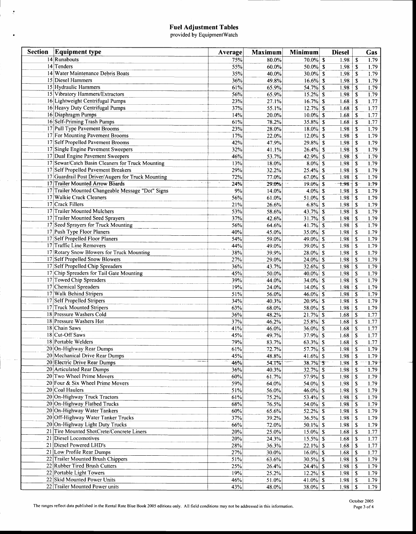### Fuel Adjustment Tables<br>provided by EquipmentWatch

 $\sim t$ 

 $\bullet$ 

 $\sim 10^{-10}$ 

للقارب

| <b>Section</b> | <b>Equipment type</b>                              | Average | <b>Maximum</b> | Minimum          | <b>Diesel</b> |                           | Gas      |
|----------------|----------------------------------------------------|---------|----------------|------------------|---------------|---------------------------|----------|
|                | $14$ Runabouts                                     | 75%     | 80.0%          | $70.0\%$ \$      | 1.98          | $\mathbf S$               | 1.79     |
|                | $14$ Tenders                                       | 55%     | 60.0%          | $50.0\%$ \$      | 1.98          | <sup>\$</sup>             | 1.79     |
|                | 14 Water Maintenance Debris Boats                  | 35%     | 40.0%          | $30.0\%$ \$      | 1.98          | \$                        | 1.79     |
|                | 15 Diesel Hammers                                  | 36%     | 49.8%          | $16.6\%$ \$      | 1.98          | \$                        | 1.79     |
|                | 15 Hydraulic Hammers                               | 61%     | 65.9%          | $54.7%$ \$       | 1.98          | $\mathbf{s}$              | 1.79     |
|                | 15 Vibratory Hammers/Extractors                    | 56%     | 65.9%          | $15.2%$ \$       | 1.98          | $\mathbf s$               | 1.79     |
|                | 16 Lightweight Centrifugal Pumps                   | 23%     | 27.1%          | $16.7\%$ \$      | 1.68          | \$                        | 1.77     |
|                | 16 Heavy Duty Centrifugal Pumps                    | 37%     | 55.1%          | $12.7%$ \$       | 1.68          | $\boldsymbol{\mathsf{s}}$ | 1.77     |
|                | 16 Diaphragm Pumps                                 | 14%     | 20.0%          | $10.0\%$ \$      | 1.68          | \$                        | 1.77     |
|                | 16 Self-Priming Trash Pumps                        | 61%     | 78.2%          | $35.8\%$ \$      | 1.68          | $\mathbf s$               | 1.77     |
|                | 17 Pull Type Pavement Brooms                       | 23%     | 28.0%          | $18.0\%$ \$      | 1.98          | \$                        | 1.79     |
|                | 17 For Mounting Pavement Brooms                    | 17%     | 22.0%          | $12.0\%$ \$      | 1.98          | $\mathbf{s}$              | 1.79     |
|                | 17 Self Propelled Pavement Brooms                  | 42%     | 47.9%          | $29.8\%$ \$      | 1.98          | \$                        | 1.79     |
|                | 17 Single Engine Pavement Sweepers                 | 32%     | 41.1%          | $26.4\%$ \$      | 1.98          | <sup>\$</sup>             | 1.79     |
|                | 17 Dual Engine Pavement Sweepers                   | 46%     | 53.7%          | $42.9%$ \$       | 1.98          | \$                        | 1.79     |
|                | 17 Sewar/Catch Basin Cleaners for Truck Mounting   | 13%     | 18.0%          | $8.0\%$ \$       | 1.98          | <sup>\$</sup>             | 1.79     |
|                | 17 Self Propelled Pavement Breakers                | 29%     | 32.2%          | $25.4\%$ \$      | 1.98          | S                         | 1.79     |
|                | 17 Guardrail Post Driver/Augers for Truck Mounting | 72%     | 77.0%          | $67.0\%$ \$      | 1.98          | \$                        | 1.79     |
|                | 17 Trailer Mounted Arrow Boards                    | 24%     | 29.0%          | $19.0\%$ \$      | 7.98          | $\cdot$                   | t.79     |
|                | 17 Trailer Mounted Changeable Message "Dot" Signs  | 9%      | 14.0%          | $4.0\%$ \$       | 1.98          | \$                        | 1.79     |
|                | 17 Walkie Crack Cleaners                           | 56%     | 61.0%          | $51.0\%$ \$      | 1.98          | \$                        | 1.79     |
|                | 17 Crack Fillers                                   | 21%     | 26.6%          | $6.8\%$ \$       | 1.98          | <sup>\$</sup>             | 1.79     |
|                | 17 Trailer Mounted Mulchers                        | 53%     | 58.6%          | $43.7%$ \$       | 1.98          | \$                        | 1.79     |
|                | 17 Trailer Mounted Seed Sprayers                   | 37%     | 42.6%          | $31.7%$ \$       | 1.98          | S                         | 1.79     |
|                | 17 Seed Sprayers for Truck Mounting                | 56%     | 64.6%          | $41.7\%$ \$      | 1.98          | \$                        | 1.79     |
|                | 17 Push Type Floor Planers                         | 40%     | 45.0%          | $35.0\%$ \$      | 1.98          | \$                        | 1.79     |
|                | 17 Self Propelled Floor Planers                    | 54%     | 59.0%          | $49.0\%$ \$      | 1.98          | \$                        | 1.79     |
|                | 17 Traffic Line Removers                           | 44%     | 49.0%          | $39.0\%$ \$      | 1.98          | $\mathsf{\$}$             | 1.79     |
|                | 17 Rotary Snow Blowers for Truck Mounting          | 38%     | 39.9%          | $28.0\%$ \$      | 1.98          | \$                        | 1.79     |
|                | 17 Self Propelled Snow Blowers                     | 27%     | 29.0%          | $24.0\%$ \$      | 1.98          | $\mathbf S$               | 1.79     |
|                | 17 Self Propelled Chip Spreaders                   | 36%     | 43.7%          | $32.6\%$ \$      | 1.98          | \$                        | 1.79     |
|                | 17 Chip Spreaders for Tail Gate Mounting           | 45%     | 50.0%          | $40.0\%$ \$      | 1.98          | <sup>\$</sup>             | 1.79     |
|                | 17 Towed Chip Spreaders                            | 39%     | 44.0%          | 34.0% \$         | 1.98          | \$                        | 1.79     |
|                | 17 Chemical Spreaders                              | 19%     | 24.0%          | $14.0\%$ \$      | 1.98          | \$                        | 1.79     |
|                | 17 Walk Behind Stripers                            | 51%     | 56.0%          | $46.0\%$ \$      | 1.98          | \$                        | 1.79     |
|                | 17 Self Propelled Stripers                         | 34%     | 40.3%          | $20.9\%$ \$      | 1.98          | \$                        | 1.79     |
|                | 17 Truck Mounted Stripers                          | 63%     | 68.0%          | $58.0\%$ \$      | 1.98          | \$                        | 1.79     |
|                | 18 Pressure Washers Cold                           | 36%     | 48.2%          | $21.7\%$ \$      | 1.68          | \$                        | 1.77     |
|                | 18 Pressure Washers Hot                            | 37%     | 46.2%          | $25.8\%$ \$      | 1.68          | \$                        | 1.77     |
|                | 18 Chain Saws                                      | 41%     | 46.0%          | $36.0\%$ \$      | 1.68          | \$                        | 1.77     |
|                | 18 Cut-Off Saws                                    | 45%     | 49.7%          | $37.9\%$ \$      | 1.68          | \$                        | 1.77     |
|                | 18 Portable Welders                                | 79%     | 83.7%          | $63.3\%$ \$      | 1.68          | \$                        | 1.77     |
|                | 20 On-Highway Rear Dumps                           | 61%     | 72.7%          | $57.7%$ \$       | 1.98          | $\mathbf S$               | 1.79     |
|                | 20 Mechanical Drive Rear Dumps                     | 45%     | 48.8%          | 41.6% $\sqrt{5}$ | 1.98          | \$                        | 1.79     |
|                | 20 Electric Drive Rear Dumps                       | 46%     | 54.1%          | $38.7\%$ \$      | 1.98          | $\mathbf{\hat{S}}$        | $1.79 -$ |
|                | 20 Articulated Rear Dumps                          | 36%     | 40.3%          | $32.7%$ \$       | 1.98          | S                         | 1.79     |
|                | 20 Two Wheel Prime Movers                          | 60%     | 61.7%          | $57.9\%$ \$      | 1.98          | \$                        | 1.79     |
|                | 20 Four & Six Wheel Prime Movers                   | 59%     | 64.0%          | 54.0% \$         | 1.98          | -S                        | 1.79     |
|                | 20 Coal Haulers                                    | 51%     | 56.0%          | $46.0\%$ \$      | 1.98          | -S                        | 1.79     |
|                | 20 On-Highway Truck Tractors                       | 61%     | 75.2%          | $53.4\%$ \$      | 1.98          | -\$                       | 1.79     |
|                | 20 On-Highway Flatbed Trucks                       | 68%     | 76.5%          | 54.0% \$         | 1.98          | -\$                       | 1.79     |
|                | 20 On-Highway Water Tankers                        | 60%     | 65.6%          | $52.2\%$ \$      | 1.98          | \$                        | 1.79     |
|                | 20 Off-Highway Water Tanker Trucks                 | 37%     | 39.2%          | $36.5\%$ \$      | 1.98          | \$                        | 1.79     |
|                | 20 On-Highway Light Duty Trucks                    | 66%     | 72.0%          | 50.1% \\$        | 1.98          | S                         | 1.79     |
|                | 21 Tire Mounted ShotCrete/Concrete Liners          | 20%     | 25.0%          | $15.0\%$ \$      | 1.68          | \$                        | 1.77     |
|                | 21 Diesel Locomotives                              | 20%     | 24.3%          | $15.5\%$ \$      | 1.68          | \$                        | 1.77     |
|                | 21 Diesel Powered LHD's                            | 28%     | 36.3%          | $22.1\%$ \$      | 1.68          | S                         | 1.77     |
|                | 21 Low Profile Rear Dumps                          | 27%     | 30.0%          | $16.0\%$ \$      | 1.68          | \$                        | 1.77     |
|                | 22 Trailer Mounted Brush Chippers                  | 51%     | 63.6%          | $30.5\%$ \$      | 1.98          | \$                        | 1.79     |
|                | 22 Rubber Tired Brush Cutters                      | 25%     | 26.4%          | $24.4\%$ \$      | 1.98          | \$                        | 1.79     |
|                | 22 Portable Light Towers                           | 19%     | 25.2%          | $12.2\%$ \$      | 1.98          | S.                        | 1.79     |
|                | 22 Skid Mounted Power Units                        | 46%     | 51.0%          | 41.0% \$         | 1.98          | \$                        | 1.79     |
|                | 22 Trailer Mounted Power units                     | 43%     | 48.0%          | $38.0\%$ \$      | 1.98          | \$                        | 1.79     |